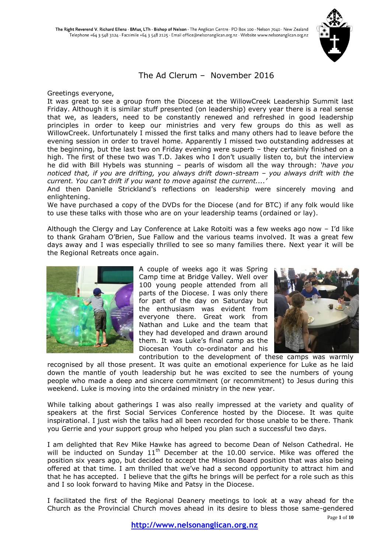

## The Ad Clerum – November 2016

Greetings everyone,

It was great to see a group from the Diocese at the WillowCreek Leadership Summit last Friday. Although it is similar stuff presented (on leadership) every year there is a real sense that we, as leaders, need to be constantly renewed and refreshed in good leadership principles in order to keep our ministries and very few groups do this as well as WillowCreek. Unfortunately I missed the first talks and many others had to leave before the evening session in order to travel home. Apparently I missed two outstanding addresses at the beginning, but the last two on Friday evening were superb – they certainly finished on a high. The first of these two was T.D. Jakes who I don't usually listen to, but the interview he did with Bill Hybels was stunning – pearls of wisdom all the way through: *'have you noticed that, if you are drifting, you always drift down-stream – you always drift with the current. You can't drift if you want to move against the current....'*

And then Danielle Strickland's reflections on leadership were sincerely moving and enlightening.

We have purchased a copy of the DVDs for the Diocese (and for BTC) if any folk would like to use these talks with those who are on your leadership teams (ordained or lay).

Although the Clergy and Lay Conference at Lake Rotoiti was a few weeks ago now – I'd like to thank Graham O'Brien, Sue Fallow and the various teams involved. It was a great few days away and I was especially thrilled to see so many families there. Next year it will be the Regional Retreats once again.



A couple of weeks ago it was Spring Camp time at Bridge Valley. Well over 100 young people attended from all parts of the Diocese. I was only there for part of the day on Saturday but the enthusiasm was evident from everyone there. Great work from Nathan and Luke and the team that they had developed and drawn around them. It was Luke's final camp as the Diocesan Youth co-ordinator and his



contribution to the development of these camps was warmly recognised by all those present. It was quite an emotional experience for Luke as he laid down the mantle of youth leadership but he was excited to see the numbers of young people who made a deep and sincere commitment (or recommitment) to Jesus during this weekend. Luke is moving into the ordained ministry in the new year.

While talking about gatherings I was also really impressed at the variety and quality of speakers at the first Social Services Conference hosted by the Diocese. It was quite inspirational. I just wish the talks had all been recorded for those unable to be there. Thank you Gerrie and your support group who helped you plan such a successful two days.

I am delighted that Rev Mike Hawke has agreed to become Dean of Nelson Cathedral. He will be inducted on Sunday  $11<sup>th</sup>$  December at the 10.00 service. Mike was offered the position six years ago, but decided to accept the Mission Board position that was also being offered at that time. I am thrilled that we've had a second opportunity to attract him and that he has accepted. I believe that the gifts he brings will be perfect for a role such as this and I so look forward to having Mike and Patsy in the Diocese.

I facilitated the first of the Regional Deanery meetings to look at a way ahead for the Church as the Provincial Church moves ahead in its desire to bless those same-gendered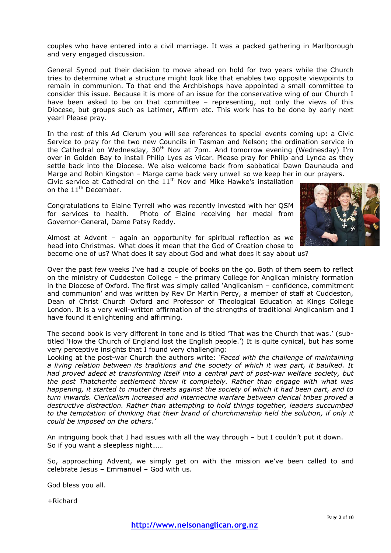couples who have entered into a civil marriage. It was a packed gathering in Marlborough and very engaged discussion.

General Synod put their decision to move ahead on hold for two years while the Church tries to determine what a structure might look like that enables two opposite viewpoints to remain in communion. To that end the Archbishops have appointed a small committee to consider this issue. Because it is more of an issue for the conservative wing of our Church I have been asked to be on that committee – representing, not only the views of this Diocese, but groups such as Latimer, Affirm etc. This work has to be done by early next year! Please pray.

In the rest of this Ad Clerum you will see references to special events coming up: a Civic Service to pray for the two new Councils in Tasman and Nelson; the ordination service in the Cathedral on Wednesday,  $30<sup>th</sup>$  Nov at 7pm. And tomorrow evening (Wednesday) I'm over in Golden Bay to install Philip Lyes as Vicar. Please pray for Philip and Lynda as they settle back into the Diocese. We also welcome back from sabbatical Dawn Daunauda and Marge and Robin Kingston – Marge came back very unwell so we keep her in our prayers. Civic service at Cathedral on the  $11<sup>th</sup>$  Nov and Mike Hawke's installation

on the 11<sup>th</sup> December.

Congratulations to Elaine Tyrrell who was recently invested with her QSM for services to health. Photo of Elaine receiving her medal from Governor-General, Dame Patsy Reddy.



Almost at Advent – again an opportunity for spiritual reflection as we head into Christmas. What does it mean that the God of Creation chose to become one of us? What does it say about God and what does it say about us?

Over the past few weeks I've had a couple of books on the go. Both of them seem to reflect on the ministry of Cuddeston College – the primary College for Anglican ministry formation in the Diocese of Oxford. The first was simply called 'Anglicanism – confidence, commitment and communion' and was written by Rev Dr Martin Percy, a member of staff at Cuddeston, Dean of Christ Church Oxford and Professor of Theological Education at Kings College London. It is a very well-written affirmation of the strengths of traditional Anglicanism and I have found it enlightening and affirming.

The second book is very different in tone and is titled 'That was the Church that was.' (subtitled 'How the Church of England lost the English people.') It is quite cynical, but has some very perceptive insights that I found very challenging:

Looking at the post-war Church the authors write: *'Faced with the challenge of maintaining a living relation between its traditions and the society of which it was part, it baulked. It had proved adept at transforming itself into a central part of post-war welfare society, but the post Thatcherite settlement threw it completely. Rather than engage with what was happening, it started to mutter threats against the society of which it had been part, and to turn inwards. Clericalism increased and internecine warfare between clerical tribes proved a destructive distraction. Rather than attempting to hold things together, leaders succumbed to the temptation of thinking that their brand of churchmanship held the solution, if only it could be imposed on the others.'*

An intriguing book that I had issues with all the way through – but I couldn't put it down. So if you want a sleepless night……

So, approaching Advent, we simply get on with the mission we've been called to and celebrate Jesus – Emmanuel – God with us.

God bless you all.

+Richard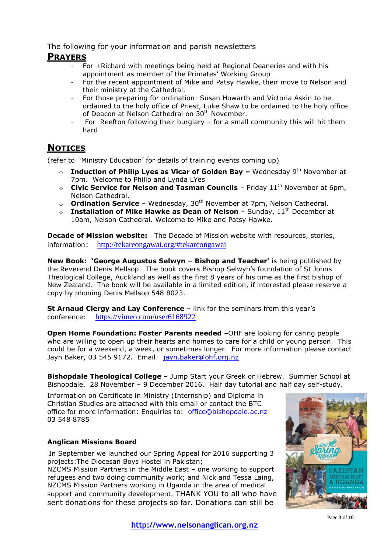The following for your information and parish newsletters

## **PRAYERS**

- For +Richard with meetings being held at Regional Deaneries and with his appointment as member of the Primates' Working Group
- For the recent appointment of Mike and Patsy Hawke, their move to Nelson and their ministry at the Cathedral.
- For those preparing for ordination: Susan Howarth and Victoria Askin to be ordained to the holy office of Priest, Luke Shaw to be ordained to the holy office of Deacon at Nelson Cathedral on 30<sup>th</sup> November.
- For Reefton following their burglary for a small community this will hit them hard

# **NOTICES**

(refer to 'Ministry Education' for details of training events coming up)

- o **Induction of Philip Lyes as Vicar of Golden Bay –** Wednesday 9th November at 7pm. Welcome to Philip and Lynda LYes
- o **Civic Service for Nelson and Tasman Councils** Friday 11th November at 6pm, Nelson Cathedral.
- o **Ordination Service** Wednesday, 30<sup>th</sup> November at 7pm, Nelson Cathedral.
- o **Installation of Mike Hawke as Dean of Nelson** Sunday, 11<sup>th</sup> December at 10am, Nelson Cathedral. Welcome to Mike and Patsy Hawke.

**Decade of Mission website:** The Decade of Mission website with resources, stories, information: <http://tekareongawai.org/#tekareongawai>

**New Book: 'George Augustus Selwyn – Bishop and Teacher'** is being published by the Reverend Denis Mellsop. The book covers Bishop Selwyn's foundation of St Johns Theological College, Auckland as well as the first 8 years of his time as the first bishop of New Zealand. The book will be available in a limited edition, if interested please reserve a copy by phoning Denis Mellsop 548 8023.

**St Arnaud Clergy and Lay Conference** – link for the seminars from this year's conference: <https://vimeo.com/user6168922>

**Open Home Foundation: Foster Parents needed** -OHF are looking for caring people who are willing to open up their hearts and homes to care for a child or young person. This could be for a weekend, a week, or sometimes longer. For more information please contact Jayn Baker, 03 545 9172. Email: [jayn.baker@ohf.org.nz](mailto:jayn.baker@ohf.org.nz) 

**Bishopdale Theological College** – Jump Start your Greek or Hebrew. Summer School at Bishopdale. 28 November – 9 December 2016. Half day tutorial and half day self-study.

Information on Certificate in Ministry (Internship) and Diploma in Christian Studies are attached with this email or contact the BTC office for more information: Enquiries to: office@bishopdale.ac.nz 03 548 8785

## **Anglican Missions Board**

In September we launched our Spring Appeal for 2016 supporting 3 projects:The Diocesan Boys Hostel in Pakistan;

NZCMS Mission Partners in the Middle East – one working to support refugees and two doing community work; and Nick and Tessa Laing, NZCMS Mission Partners working in Uganda in the area of medical support and community development. THANK YOU to all who have sent donations for these projects so far. Donations can still be

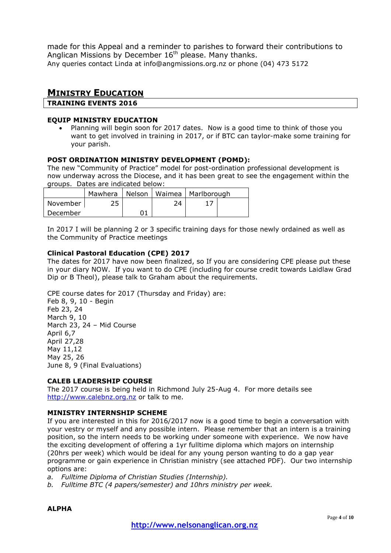made for this Appeal and a reminder to parishes to forward their contributions to Anglican Missions by December  $16<sup>th</sup>$  please. Many thanks. Any queries contact Linda at info@angmissions.org.nz or phone (04) 473 5172

## **MINISTRY EDUCATION**

**TRAINING EVENTS 2016**

#### **EQUIP MINISTRY EDUCATION**

 Planning will begin soon for 2017 dates. Now is a good time to think of those you want to get involved in training in 2017, or if BTC can taylor-make some training for your parish.

### **POST ORDINATION MINISTRY DEVELOPMENT (POMD):**

The new "Community of Practice" model for post-ordination professional development is now underway across the Diocese, and it has been great to see the engagement within the groups. Dates are indicated below:

|                       |  |    | Mawhera   Nelson   Waimea   Marlborough |  |
|-----------------------|--|----|-----------------------------------------|--|
| November <sub>l</sub> |  | 74 |                                         |  |
| December              |  |    |                                         |  |

In 2017 I will be planning 2 or 3 specific training days for those newly ordained as well as the Community of Practice meetings

### **Clinical Pastoral Education (CPE) 2017**

The dates for 2017 have now been finalized, so If you are considering CPE please put these in your diary NOW. If you want to do CPE (including for course credit towards Laidlaw Grad Dip or B Theol), please talk to Graham about the requirements.

CPE course dates for 2017 (Thursday and Friday) are:

Feb 8, 9, 10 - Begin Feb 23, 24 March 9, 10 March 23, 24 – Mid Course April 6,7 April 27,28 May 11,12 May 25, 26 June 8, 9 (Final Evaluations)

#### **CALEB LEADERSHIP COURSE**

The 2017 course is being held in Richmond July 25-Aug 4. For more details see [http://www.calebnz.org.nz](http://www.calebnz.org.nz/) or talk to me.

#### **MINISTRY INTERNSHIP SCHEME**

If you are interested in this for 2016/2017 now is a good time to begin a conversation with your vestry or myself and any possible intern. Please remember that an intern is a training position, so the intern needs to be working under someone with experience. We now have the exciting development of offering a 1yr fulltime diploma which majors on internship (20hrs per week) which would be ideal for any young person wanting to do a gap year programme or gain experience in Christian ministry (see attached PDF). Our two internship options are:

*a. Fulltime Diploma of Christian Studies (Internship).*

*b. Fulltime BTC (4 papers/semester) and 10hrs ministry per week.*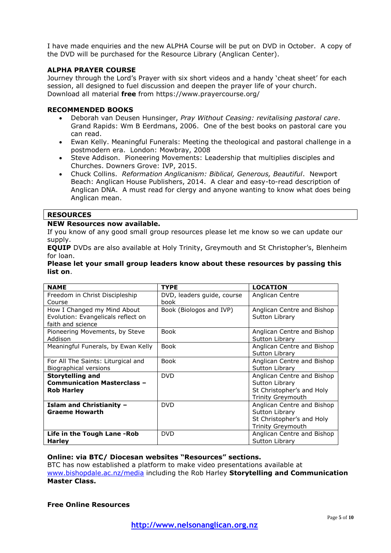I have made enquiries and the new ALPHA Course will be put on DVD in October. A copy of the DVD will be purchased for the Resource Library (Anglican Center).

#### **ALPHA PRAYER COURSE**

Journey through the Lord's Prayer with six short videos and a handy 'cheat sheet' for each session, all designed to fuel discussion and deepen the prayer life of your church. Download all material **free** from https://www.prayercourse.org/

#### **RECOMMENDED BOOKS**

- Deborah van Deusen Hunsinger, *Pray Without Ceasing: revitalising pastoral care*. Grand Rapids: Wm B Eerdmans, 2006. One of the best books on pastoral care you can read.
- Ewan Kelly. Meaningful Funerals: Meeting the theological and pastoral challenge in a postmodern era. London: Mowbray, 2008
- Steve Addison. Pioneering Movements: Leadership that multiplies disciples and Churches. Downers Grove: IVP, 2015.
- Chuck Collins. *Reformation Anglicanism: Biblical, Generous, Beautiful*. Newport Beach: Anglican House Publishers, 2014. A clear and easy-to-read description of Anglican DNA. A must read for clergy and anyone wanting to know what does being Anglican mean.

### **RESOURCES**

#### **NEW Resources now available.**

If you know of any good small group resources please let me know so we can update our supply.

**EQUIP** DVDs are also available at Holy Trinity, Greymouth and St Christopher's, Blenheim for loan.

#### **Please let your small group leaders know about these resources by passing this list on**.

| <b>NAME</b>                        | <b>TYPE</b>                | <b>LOCATION</b>            |  |
|------------------------------------|----------------------------|----------------------------|--|
| Freedom in Christ Discipleship     | DVD, leaders guide, course | Anglican Centre            |  |
| Course                             | book                       |                            |  |
| How I Changed my Mind About        | Book (Biologos and IVP)    | Anglican Centre and Bishop |  |
| Evolution: Evangelicals reflect on |                            | Sutton Library             |  |
| faith and science                  |                            |                            |  |
| Pioneering Movements, by Steve     | <b>Book</b>                | Anglican Centre and Bishop |  |
| Addison                            |                            | Sutton Library             |  |
| Meaningful Funerals, by Ewan Kelly | <b>Book</b>                | Anglican Centre and Bishop |  |
|                                    |                            | Sutton Library             |  |
| For All The Saints: Liturgical and | <b>Book</b>                | Anglican Centre and Bishop |  |
| Biographical versions              |                            | Sutton Library             |  |
| <b>Storytelling and</b>            | <b>DVD</b>                 | Anglican Centre and Bishop |  |
| <b>Communication Masterclass -</b> |                            | Sutton Library             |  |
| <b>Rob Harley</b>                  |                            | St Christopher's and Holy  |  |
|                                    |                            | <b>Trinity Greymouth</b>   |  |
| <b>Islam and Christianity -</b>    | <b>DVD</b>                 | Anglican Centre and Bishop |  |
| <b>Graeme Howarth</b>              |                            | Sutton Library             |  |
|                                    |                            | St Christopher's and Holy  |  |
|                                    |                            | <b>Trinity Greymouth</b>   |  |
| Life in the Tough Lane - Rob       | <b>DVD</b>                 | Anglican Centre and Bishop |  |
| <b>Harley</b>                      |                            | Sutton Library             |  |

#### **Online: via BTC/ Diocesan websites "Resources" sections.**

BTC has now established a platform to make video presentations available at [www.bishopdale.ac.nz/media](http://www.bishopdale.ac.nz/media) including the Rob Harley **Storytelling and Communication Master Class.**

#### **Free Online Resources**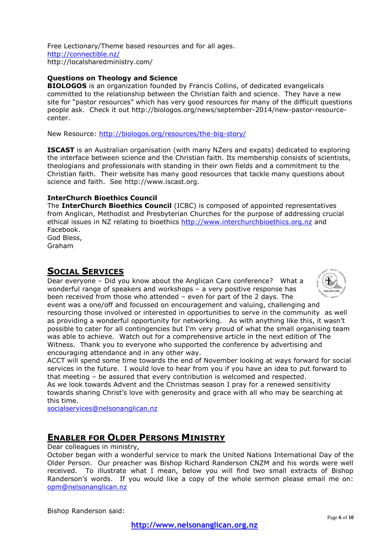Free Lectionary/Theme based resources and for all ages. <http://connectible.nz/> http://localsharedministry.com/

### **Questions on Theology and Science**

**BIOLOGOS** is an organization founded by Francis Collins, of dedicated evangelicals committed to the relationship between the Christian faith and science. They have a new site for "pastor resources" which has very good resources for many of the difficult questions people ask. Check it out http://biologos.org/news/september-2014/new-pastor-resourcecenter.

New Resource:<http://biologos.org/resources/the-big-story/>

**ISCAST** is an Australian organisation (with many NZers and expats) dedicated to exploring the interface between science and the Christian faith. Its membership consists of scientists, theologians and professionals with standing in their own fields and a commitment to the Christian faith. Their website has many good resources that tackle many questions about science and faith. See http://www.iscast.org.

### **InterChurch Bioethics Council**

The **InterChurch Bioethics Council** (ICBC) is composed of appointed representatives from Anglican, Methodist and Presbyterian Churches for the purpose of addressing crucial ethical issues in NZ relating to bioethics [http://www.interchurchbioethics.org.nz](http://www.interchurchbioethics.org.nz/) and Facebook. God Bless,

Graham

# **SOCIAL SERVICES**

Dear everyone – Did you know about the Anglican Care conference? What a wonderful range of speakers and workshops – a very positive response has been received from those who attended – even for part of the 2 days. The event was a one/off and focussed on encouragement and valuing, challenging and



resourcing those involved or interested in opportunities to serve in the community as well as providing a wonderful opportunity for networking. As with anything like this, it wasn't possible to cater for all contingencies but I'm very proud of what the small organising team was able to achieve. Watch out for a comprehensive article in the next edition of The Witness. Thank you to everyone who supported the conference by advertising and encouraging attendance and in any other way.

ACCT will spend some time towards the end of November looking at ways forward for social services in the future. I would love to hear from you if you have an idea to put forward to that meeting – be assured that every contribution is welcomed and respected.

As we look towards Advent and the Christmas season I pray for a renewed sensitivity towards sharing Christ's love with generosity and grace with all who may be searching at this time.

[socialservices@nelsonanglican.nz](mailto:socialservices@nelsonanglican.nz)

# **ENABLER FOR OLDER PERSONS MINISTRY**

Dear colleagues in ministry,

October began with a wonderful service to mark the United Nations International Day of the Older Person. Our preacher was Bishop Richard Randerson CNZM and his words were well received. To illustrate what I mean, below you will find two small extracts of Bishop Randerson's words. If you would like a copy of the whole sermon please email me on: [opm@nelsonanglican.nz](mailto:opm@nelsonanglican.nz)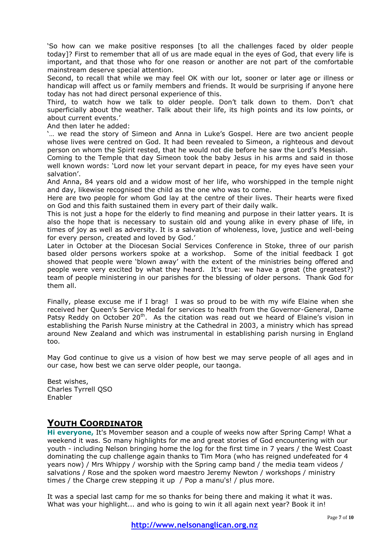'So how can we make positive responses [to all the challenges faced by older people today]? First to remember that all of us are made equal in the eyes of God, that every life is important, and that those who for one reason or another are not part of the comfortable mainstream deserve special attention.

Second, to recall that while we may feel OK with our lot, sooner or later age or illness or handicap will affect us or family members and friends. It would be surprising if anyone here today has not had direct personal experience of this.

Third, to watch how we talk to older people. Don't talk down to them. Don't chat superficially about the weather. Talk about their life, its high points and its low points, or about current events.'

And then later he added:

'… we read the story of Simeon and Anna in Luke's Gospel. Here are two ancient people whose lives were centred on God. It had been revealed to Simeon, a righteous and devout person on whom the Spirit rested, that he would not die before he saw the Lord's Messiah.

Coming to the Temple that day Simeon took the baby Jesus in his arms and said in those well known words: 'Lord now let your servant depart in peace, for my eyes have seen your salvation'.

And Anna, 84 years old and a widow most of her life, who worshipped in the temple night and day, likewise recognised the child as the one who was to come.

Here are two people for whom God lay at the centre of their lives. Their hearts were fixed on God and this faith sustained them in every part of their daily walk.

This is not just a hope for the elderly to find meaning and purpose in their latter years. It is also the hope that is necessary to sustain old and young alike in every phase of life, in times of joy as well as adversity. It is a salvation of wholeness, love, justice and well-being for every person, created and loved by God.'

Later in October at the Diocesan Social Services Conference in Stoke, three of our parish based older persons workers spoke at a workshop. Some of the initial feedback I got showed that people were 'blown away' with the extent of the ministries being offered and people were very excited by what they heard. It's true: we have a great (the greatest?) team of people ministering in our parishes for the blessing of older persons. Thank God for them all.

Finally, please excuse me if I brag! I was so proud to be with my wife Elaine when she received her Queen's Service Medal for services to health from the Governor-General, Dame Patsy Reddy on October  $20<sup>th</sup>$ . As the citation was read out we heard of Elaine's vision in establishing the Parish Nurse ministry at the Cathedral in 2003, a ministry which has spread around New Zealand and which was instrumental in establishing parish nursing in England too.

May God continue to give us a vision of how best we may serve people of all ages and in our case, how best we can serve older people, our taonga.

Best wishes, Charles Tyrrell QSO Enabler

## **YOUTH COORDINATOR**

**Hi everyone,** It's Movember season and a couple of weeks now after Spring Camp! What a weekend it was. So many highlights for me and great stories of God encountering with our youth - including Nelson bringing home the log for the first time in 7 years / the West Coast dominating the cup challenge again thanks to Tim Mora (who has reigned undefeated for 4 years now) / Mrs Whippy / worship with the Spring camp band / the media team videos / salvations / Rose and the spoken word maestro Jeremy Newton / workshops / ministry times / the Charge crew stepping it up / Pop a manu's! / plus more.

It was a special last camp for me so thanks for being there and making it what it was. What was your highlight... and who is going to win it all again next year? Book it in!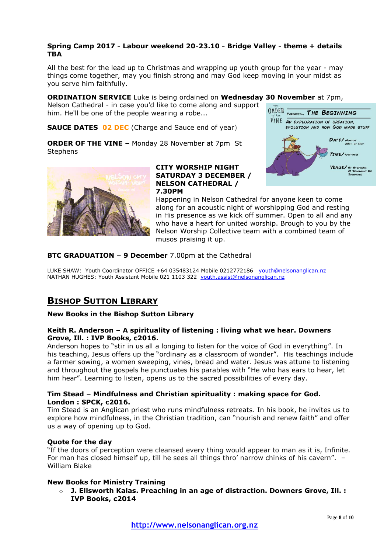### **Spring Camp 2017 - Labour weekend 20-23.10 - Bridge Valley - theme + details TBA**

All the best for the lead up to Christmas and wrapping up youth group for the year - may things come together, may you finish strong and may God keep moving in your midst as you serve him faithfully.

**ORDINATION SERVICE** Luke is being ordained on **Wednesday 30 November** at 7pm,

Nelson Cathedral - in case you'd like to come along and support him. He'll be one of the people wearing a robe...

**SAUCE DATES 02 DEC** (Charge and Sauce end of year)

**ORDER OF THE VINE –** Monday 28 November at 7pm St **Stephens** 





#### **CITY WORSHIP NIGHT SATURDAY 3 DECEMBER / NELSON CATHEDRAL / 7.30PM**

Happening in Nelson Cathedral for anyone keen to come along for an acoustic night of worshipping God and resting in His presence as we kick off summer. Open to all and any who have a heart for united worship. Brough to you by the Nelson Worship Collective team with a combined team of musos praising it up.

### **BTC GRADUATION – 9 December** 7.00pm at the Cathedral

LUKE SHAW: Youth Coordinator OFFICE +64 035483124 Mobile 0212772186 vouth@nelsonanglican.nz NATHAN HUGHES: Youth Assistant Mobile 021 1103 322 [youth.assist@nelsonanglican.nz](mailto:youth.assist@nelsonanglican.nz)

# **BISHOP SUTTON LIBRARY**

### **New Books in the Bishop Sutton Library**

#### **Keith R. Anderson – A spirituality of listening : living what we hear. Downers Grove, Ill. : IVP Books, c2016.**

Anderson hopes to "stir in us all a longing to listen for the voice of God in everything". In his teaching, Jesus offers up the "ordinary as a classroom of wonder". His teachings include a farmer sowing, a women sweeping, vines, bread and water. Jesus was attune to listening and throughout the gospels he punctuates his parables with "He who has ears to hear, let him hear". Learning to listen, opens us to the sacred possibilities of every day.

### **Tim Stead – Mindfulness and Christian spirituality : making space for God. London : SPCK, c2016.**

Tim Stead is an Anglican priest who runs mindfulness retreats. In his book, he invites us to explore how mindfulness, in the Christian tradition, can "nourish and renew faith" and offer us a way of opening up to God.

#### **Quote for the day**

"If the doors of perception were cleansed every thing would appear to man as it is, Infinite. For man has closed himself up, till he sees all things thro' narrow chinks of his cavern". – William Blake

### **New Books for Ministry Training**

o **J. Ellsworth Kalas. Preaching in an age of distraction. Downers Grove, Ill. : IVP Books, c2014**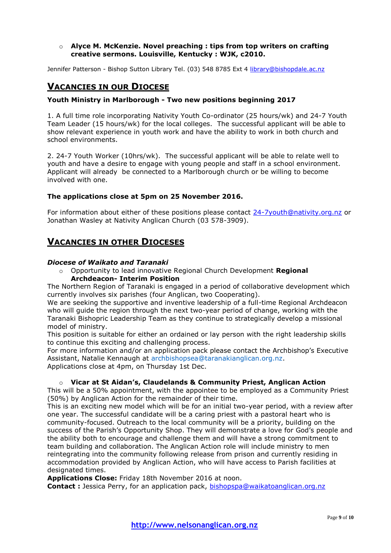#### o **Alyce M. McKenzie. Novel preaching : tips from top writers on crafting creative sermons. Louisville, Kentucky : WJK, c2010.**

Jennifer Patterson - Bishop Sutton Library Tel. (03) 548 8785 Ext 4 [library@bishopdale.ac.nz](mailto:library@bishopdale.ac.nz)

# **VACANCIES IN OUR DIOCESE**

#### **Youth Ministry in Marlborough - Two new positions beginning 2017**

1. A full time role incorporating Nativity Youth Co-ordinator (25 hours/wk) and 24-7 Youth Team Leader (15 hours/wk) for the local colleges. The successful applicant will be able to show relevant experience in youth work and have the ability to work in both church and school environments.

2. 24-7 Youth Worker (10hrs/wk). The successful applicant will be able to relate well to youth and have a desire to engage with young people and staff in a school environment. Applicant will already be connected to a Marlborough church or be willing to become involved with one.

#### **The applications close at 5pm on 25 November 2016.**

For information about either of these positions please contact [24-7youth@nativity.org.nz](mailto:24-7youth@nativity.org.nz) or Jonathan Wasley at Nativity Anglican Church (03 578-3909).

# **VACANCIES IN OTHER DIOCESES**

#### *Diocese of Waikato and Taranaki*

o Opportunity to lead innovative Regional Church Development **Regional Archdeacon- Interim Position**

The Northern Region of Taranaki is engaged in a period of collaborative development which currently involves six parishes (four Anglican, two Cooperating).

We are seeking the supportive and inventive leadership of a full-time Regional Archdeacon who will guide the region through the next two-year period of change, working with the Taranaki Bishopric Leadership Team as they continue to strategically develop a missional model of ministry.

This position is suitable for either an ordained or lay person with the right leadership skills to continue this exciting and challenging process.

For more information and/or an application pack please contact the Archbishop's Executive Assistant, Natalie Kennaugh at archbishopsea@taranakianglican.org.nz. Applications close at 4pm, on Thursday 1st Dec.

#### o **Vicar at St Aidan's, Claudelands & Community Priest, Anglican Action**

This will be a 50% appointment, with the appointee to be employed as a Community Priest (50%) by Anglican Action for the remainder of their time.

This is an exciting new model which will be for an initial two-year period, with a review after one year. The successful candidate will be a caring priest with a pastoral heart who is community-focused. Outreach to the local community will be a priority, building on the success of the Parish's Opportunity Shop. They will demonstrate a love for God's people and the ability both to encourage and challenge them and will have a strong commitment to team building and collaboration. The Anglican Action role will include ministry to men reintegrating into the community following release from prison and currently residing in accommodation provided by Anglican Action, who will have access to Parish facilities at designated times.

**Applications Close:** Friday 18th November 2016 at noon.

**Contact :** Jessica Perry, for an application pack, [bishopspa@waikatoanglican.org.nz](mailto:bishopspa@waikatoanglican.org.nz)